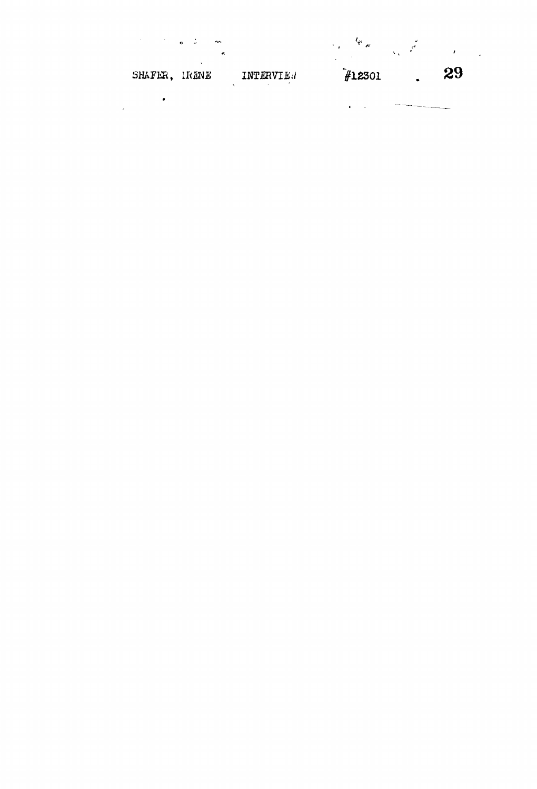| $\mathcal{L} = \mathbf{0}$<br>the contract of the con-<br>$\sim$<br>$\sim$<br>$\ddot{\phantom{1}}$ |  |                  | س<br>$\mathcal{A}$ |                |    |
|----------------------------------------------------------------------------------------------------|--|------------------|--------------------|----------------|----|
| SHAFER, IRENE                                                                                      |  | <b>INTERVIEN</b> | $\hat{H}$ 12301    | $\blacksquare$ | 29 |
| $\epsilon$                                                                                         |  |                  |                    |                |    |
|                                                                                                    |  |                  |                    |                |    |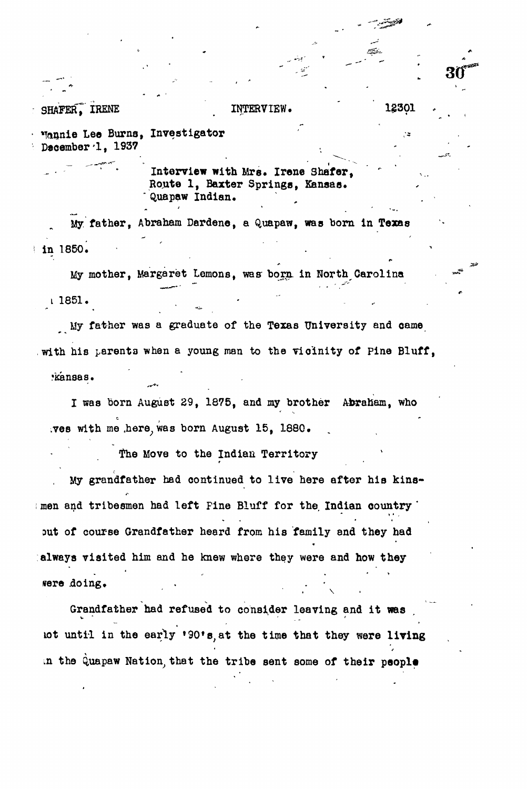SHAFER, IRENE ISSOL INTERVIEW. 12301

•Tannie Lea Burns, Investigator *;\** December <sup>1</sup>, 1937

> Interview with Mrs. Irene Shafer, Route 1, Baxter Springs, Kansas. Quapaw Indian.

My father, Abraham Dardene, a Quapaw, was born in Texas in 1850.

My mother, Margaret Lemons, was- born, in North Carolina  $1851.$ 

My father was a graduate of the Texas University and came with his parents when a young man to the vicinity of Pine Bluff, •Kansas.

I was born August 29, 1875, and my brother Abraham, who .ves with me ,here;was born August 15, 1880.

**r**  $\mathbf{r}$   $\mathbf{r}$   $\mathbf{r}$   $\mathbf{r}$   $\mathbf{r}$   $\mathbf{r}$   $\mathbf{r}$   $\mathbf{r}$   $\mathbf{r}$   $\mathbf{r}$   $\mathbf{r}$   $\mathbf{r}$   $\mathbf{r}$   $\mathbf{r}$   $\mathbf{r}$   $\mathbf{r}$   $\mathbf{r}$   $\mathbf{r}$   $\mathbf{r}$   $\mathbf{r}$   $\mathbf{r}$   $\mathbf{r}$   $\mathbf{r}$   $\mathbf{r}$   $\$ 

The Move to the Indian Territory

were doing to the control of the control of the control of the control of the control of the control of the control of the control of the control of the control of the control of the control of the control of the control o

My grandfather had continued to live here after his kins-**My grandfather bad continued to live here after his kins**men and tribesmen had left Pine Bluff for the Indian country **men and tribesmen had left Fine Bluff for the Indian country '** put of course Grandfather heard from his family and they had **aut of course Grandfather heard from his family and they had** always visited him and he knew where they were and how they **always visited him and he knew where they were and how they** were doing.

**Grandfather had refused to consider leaving and it was** lot until in the early '90's at the time that they were living in the Quapaw Nation, that the tribe sent some of their people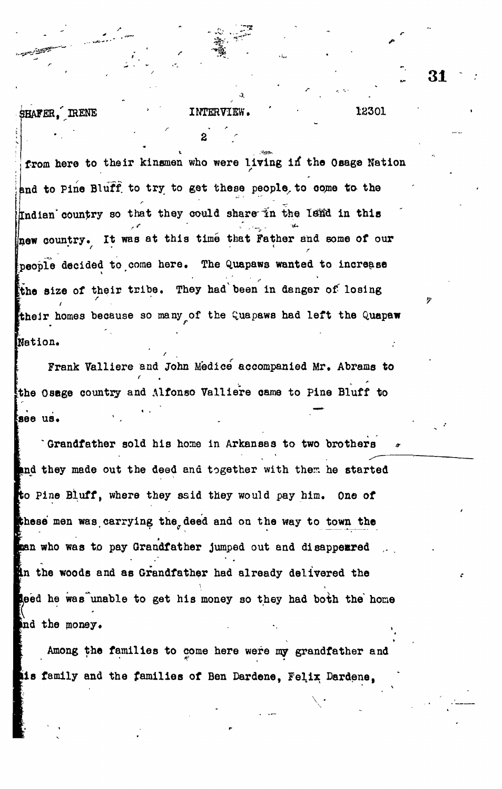**IRENE IRENE INTERVIEW.** 12301

Isee us.

,

**31**

from here to their kinsmen who were living in the Osage Nation and to Pine Bluff, to try to get these people to come to the Indian country so that they could share in the leffd in this new country. It was at this time that Father and some of our people decided to come here. The Quapaws wanted to increase the size of their tribe. They had been in danger of losing their homes because so many of the Quapaws had left the Quapaw Nation.

 $\frac{1}{2}$ the **Osage** country and Alfonso Valliere came to Pine Bluff to see us.

r

 $\overline{G}$  is home in  $\overline{G}$  has home in  $\overline{G}$  . We have brother  $\overline{G}$ and they made out the deed and together with them he started to Pine Bluff, where they said they would pay him. One of these men was.carrying the.,deed and on the way to town **the** man who was to pay Grandfather jumped out and disappeared Ln the woods and as Grandfather had already delivered the deed he was unable to get his money so they had both the home ind the money.

Among the families to come here were my grandfather and Is family and the families of Ben Dardene, Felix Dardene,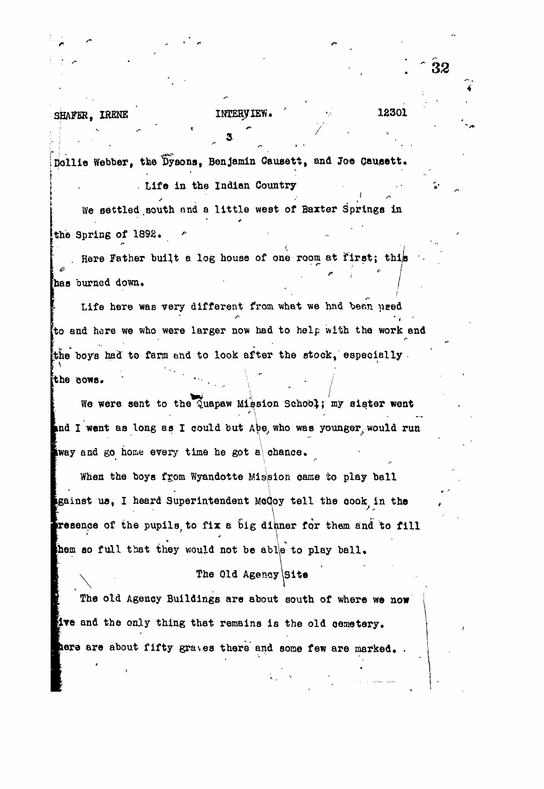### SHAFER, IRENE INTERVIEW. THERY ISSUED OF THE RESIDENCE IS A LOCAL LOCAL CHARGE IS A LOCAL LOCAL CHARGE IS A LOCAL LOCAL CHARGE IS A LOCAL CHARGE IS A LOCAL CHARGE IS A LOCAL CHARGE IS A LOCAL CHARGE IS A LOCAL CHARGE IS A

is the same state of  $\sim$  3.

7

32

 $\left| \begin{array}{ccc} \cdot & \cdot & \cdot & \cdot & \cdot \end{array} \right|$ incrite Menner, the Discuss benjamin causari, and Joe Causari. **I 1.120 "**  $\frac{1}{2}$ 

. Life in the Indian Country

.<br>nt We settled south and a little west of Bayter Springs in the Spring of  $1892.$ 

Here Father built a log house of one room at first; this has burned down.

Life here was very different from what we had been used [to and here we who were larger now had to help with the work end the boys had to farm and to look after the stock, especially.  $\mathbf{t}$  the cows.

We were sent to the Quapaw Mission School; my sister went nd I went as long as I could but Ape, who was younger, would run *\* way and go home every time he got a $\alpha$  chance.  $\sum_{i=1}^n$ 

. The contract of the contract of the contract of the contract of the contract of the contract of the contract of the contract of the contract of the contract of the contract of the contract of the contract of the contrac

When the boys from Wyandotte Mission came to play ball gainst us, I heard Superintendent McCoy tell the cook in the resence of the pupils to fix a big dinner for them and to fill them so full that they would not be able to play ball.

The Old Agency Site

The old Agency Buildings are about south of where we now ive and the only thing that remains is the old cemetery. here are about fifty graves there and some few are marked.

ere are about fifty graves there and some few are marked. .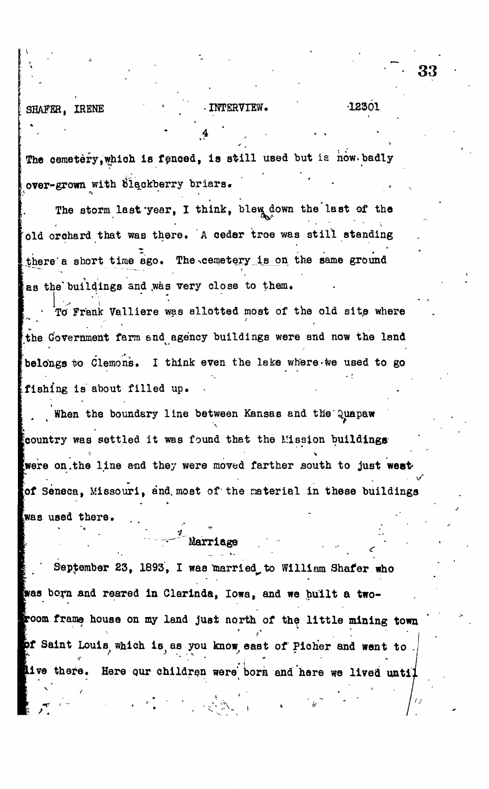## SHAFER, IRENE  $\qquad \qquad \text{INTERVIEW}.$

The cemetery, which is fenced, is still used but is now badly over-grown with blackberry briars.

The storm last year, I think, blew down the last of the old orchard that was there. A cedar troe was still standing there a short time ago. The cemetery is on the same ground as the buildings and was very close to them.

To Frank Valliere was allotted most of the old site where the Government farm and agency buildings were and now the land belongs to Clemons. I think even the lake where we used to go fishing is about filled up.

When the boundary line between Kansas and the Quapaw country was settled it was found that the Mission buildings were on the line and they were moved farther south to just west of Seneca, Missouri, and. most of' the naterial in these buildings was used there.

Marriage

September 23, 1893, I was married to William Shafer who was born and reared in Clarinda, Iowa, and we built a twooom frame house on my land just north of the little mining town of Saint Louis which is as you know east of Picher and went to. live there. Here our children were born and here we lived until

 $\mathbb{R}^3 \otimes \mathbb{R}^3$ 

بهر<br>• <sup>م</sup>ر